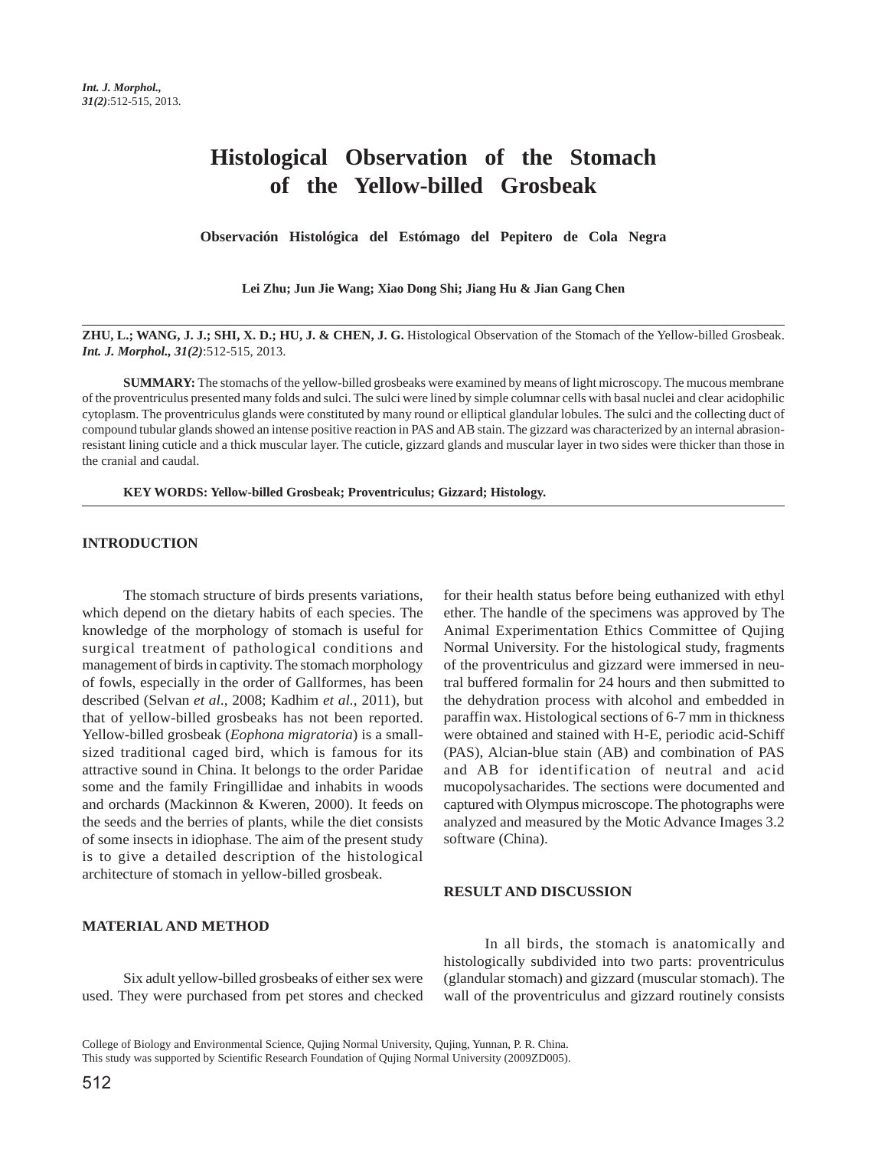# **Histological Observation of the Stomach of the Yellow-billed Grosbeak**

**Observación Histológica del Estómago del Pepitero de Cola Negra**

**Lei Zhu; Jun Jie Wang; Xiao Dong Shi; Jiang Hu & Jian Gang Chen**

**ZHU, L.; WANG, J. J.; SHI, X. D.; HU, J. & CHEN, J. G.** Histological Observation of the Stomach of the Yellow-billed Grosbeak. *Int. J. Morphol., 31(2)*:512-515, 2013.

**SUMMARY:** The stomachs of the yellow-billed grosbeaks were examined by means of light microscopy. The mucous membrane of the proventriculus presented many folds and sulci. The sulci were lined by simple columnar cells with basal nuclei and clear acidophilic cytoplasm. The proventriculus glands were constituted by many round or elliptical glandular lobules. The sulci and the collecting duct of compound tubular glands showed an intense positive reaction in PAS and AB stain. The gizzard was characterized by an internal abrasionresistant lining cuticle and a thick muscular layer. The cuticle, gizzard glands and muscular layer in two sides were thicker than those in the cranial and caudal.

**KEY WORDS: Yellow-billed Grosbeak; Proventriculus; Gizzard; Histology.**

## **INTRODUCTION**

The stomach structure of birds presents variations, which depend on the dietary habits of each species. The knowledge of the morphology of stomach is useful for surgical treatment of pathological conditions and management of birds in captivity. The stomach morphology of fowls, especially in the order of Gallformes, has been described (Selvan *et al*., 2008; Kadhim *et al.*, 2011), but that of yellow-billed grosbeaks has not been reported. Yellow-billed grosbeak (*Eophona migratoria*) is a smallsized traditional caged bird, which is famous for its attractive sound in China. It belongs to the order Paridae some and the family Fringillidae and inhabits in woods and orchards (Mackinnon & Kweren, 2000). It feeds on the seeds and the berries of plants, while the diet consists of some insects in idiophase. The aim of the present study is to give a detailed description of the histological architecture of stomach in yellow-billed grosbeak.

# **MATERIAL AND METHOD**

Six adult yellow-billed grosbeaks of either sex were used. They were purchased from pet stores and checked for their health status before being euthanized with ethyl ether. The handle of the specimens was approved by The Animal Experimentation Ethics Committee of Qujing Normal University. For the histological study, fragments of the proventriculus and gizzard were immersed in neutral buffered formalin for 24 hours and then submitted to the dehydration process with alcohol and embedded in paraffin wax. Histological sections of 6-7 mm in thickness were obtained and stained with H-E, periodic acid-Schiff (PAS), Alcian-blue stain (AB) and combination of PAS and AB for identification of neutral and acid mucopolysacharides. The sections were documented and captured with Olympus microscope. The photographs were analyzed and measured by the Motic Advance Images 3.2 software (China).

#### **RESULT AND DISCUSSION**

In all birds, the stomach is anatomically and histologically subdivided into two parts: proventriculus (glandular stomach) and gizzard (muscular stomach). The wall of the proventriculus and gizzard routinely consists

College of Biology and Environmental Science, Qujing Normal University, Qujing, Yunnan, P. R. China. This study was supported by Scientific Research Foundation of Qujing Normal University (2009ZD005).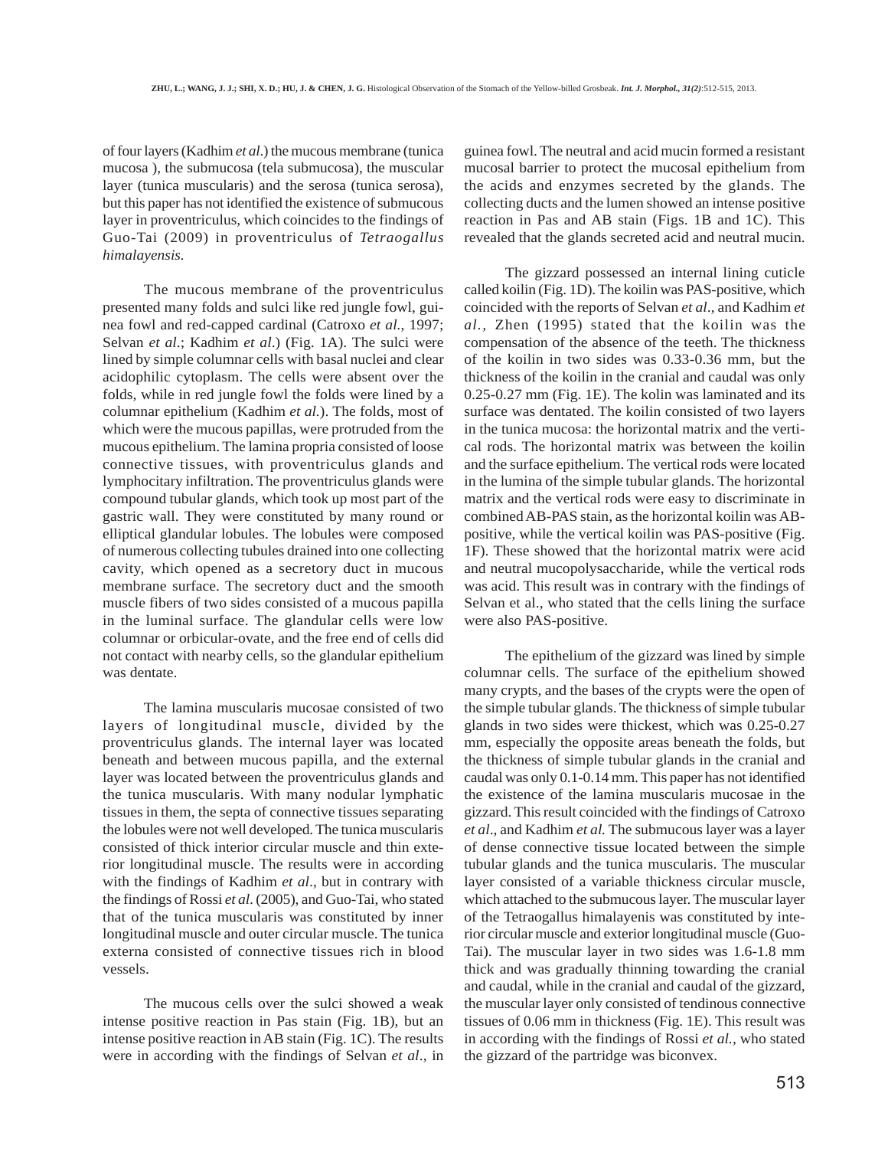of four layers (Kadhim *et al*.) the mucous membrane (tunica mucosa ), the submucosa (tela submucosa), the muscular layer (tunica muscularis) and the serosa (tunica serosa), but this paper has not identified the existence of submucous layer in proventriculus, which coincides to the findings of Guo-Tai (2009) in proventriculus of *Tetraogallus himalayensis.*

The mucous membrane of the proventriculus presented many folds and sulci like red jungle fowl, guinea fowl and red-capped cardinal (Catroxo *et al.*, 1997; Selvan *et al*.; Kadhim *et al*.) (Fig. 1A). The sulci were lined by simple columnar cells with basal nuclei and clear acidophilic cytoplasm. The cells were absent over the folds, while in red jungle fowl the folds were lined by a columnar epithelium (Kadhim *et al.*). The folds, most of which were the mucous papillas, were protruded from the mucous epithelium. The lamina propria consisted of loose connective tissues, with proventriculus glands and lymphocitary infiltration. The proventriculus glands were compound tubular glands, which took up most part of the gastric wall. They were constituted by many round or elliptical glandular lobules. The lobules were composed of numerous collecting tubules drained into one collecting cavity, which opened as a secretory duct in mucous membrane surface. The secretory duct and the smooth muscle fibers of two sides consisted of a mucous papilla in the luminal surface. The glandular cells were low columnar or orbicular-ovate, and the free end of cells did not contact with nearby cells, so the glandular epithelium was dentate.

The lamina muscularis mucosae consisted of two layers of longitudinal muscle, divided by the proventriculus glands. The internal layer was located beneath and between mucous papilla, and the external layer was located between the proventriculus glands and the tunica muscularis. With many nodular lymphatic tissues in them, the septa of connective tissues separating the lobules were not well developed. The tunica muscularis consisted of thick interior circular muscle and thin exterior longitudinal muscle. The results were in according with the findings of Kadhim *et al*., but in contrary with the findings of Rossi *et al*. (2005), and Guo-Tai, who stated that of the tunica muscularis was constituted by inner longitudinal muscle and outer circular muscle. The tunica externa consisted of connective tissues rich in blood vessels.

The mucous cells over the sulci showed a weak intense positive reaction in Pas stain (Fig. 1B), but an intense positive reaction in AB stain (Fig. 1C). The results were in according with the findings of Selvan *et al*., in

guinea fowl. The neutral and acid mucin formed a resistant mucosal barrier to protect the mucosal epithelium from the acids and enzymes secreted by the glands. The collecting ducts and the lumen showed an intense positive reaction in Pas and AB stain (Figs. 1B and 1C). This revealed that the glands secreted acid and neutral mucin.

The gizzard possessed an internal lining cuticle called koilin (Fig. 1D). The koilin was PAS-positive, which coincided with the reports of Selvan *et al*., and Kadhim *et al.,* Zhen (1995) stated that the koilin was the compensation of the absence of the teeth. The thickness of the koilin in two sides was 0.33-0.36 mm, but the thickness of the koilin in the cranial and caudal was only 0.25-0.27 mm (Fig. 1E). The kolin was laminated and its surface was dentated. The koilin consisted of two layers in the tunica mucosa: the horizontal matrix and the vertical rods. The horizontal matrix was between the koilin and the surface epithelium. The vertical rods were located in the lumina of the simple tubular glands. The horizontal matrix and the vertical rods were easy to discriminate in combined AB-PAS stain, as the horizontal koilin was ABpositive, while the vertical koilin was PAS-positive (Fig. 1F). These showed that the horizontal matrix were acid and neutral mucopolysaccharide, while the vertical rods was acid. This result was in contrary with the findings of Selvan et al., who stated that the cells lining the surface were also PAS-positive.

The epithelium of the gizzard was lined by simple columnar cells. The surface of the epithelium showed many crypts, and the bases of the crypts were the open of the simple tubular glands. The thickness of simple tubular glands in two sides were thickest, which was 0.25-0.27 mm, especially the opposite areas beneath the folds, but the thickness of simple tubular glands in the cranial and caudal was only 0.1-0.14 mm. This paper has not identified the existence of the lamina muscularis mucosae in the gizzard. This result coincided with the findings of Catroxo *et al*., and Kadhim *et al.* The submucous layer was a layer of dense connective tissue located between the simple tubular glands and the tunica muscularis. The muscular layer consisted of a variable thickness circular muscle, which attached to the submucous layer. The muscular layer of the Tetraogallus himalayenis was constituted by interior circular muscle and exterior longitudinal muscle (Guo-Tai). The muscular layer in two sides was 1.6-1.8 mm thick and was gradually thinning towarding the cranial and caudal, while in the cranial and caudal of the gizzard, the muscular layer only consisted of tendinous connective tissues of 0.06 mm in thickness (Fig. 1E). This result was in according with the findings of Rossi *et al.,* who stated the gizzard of the partridge was biconvex.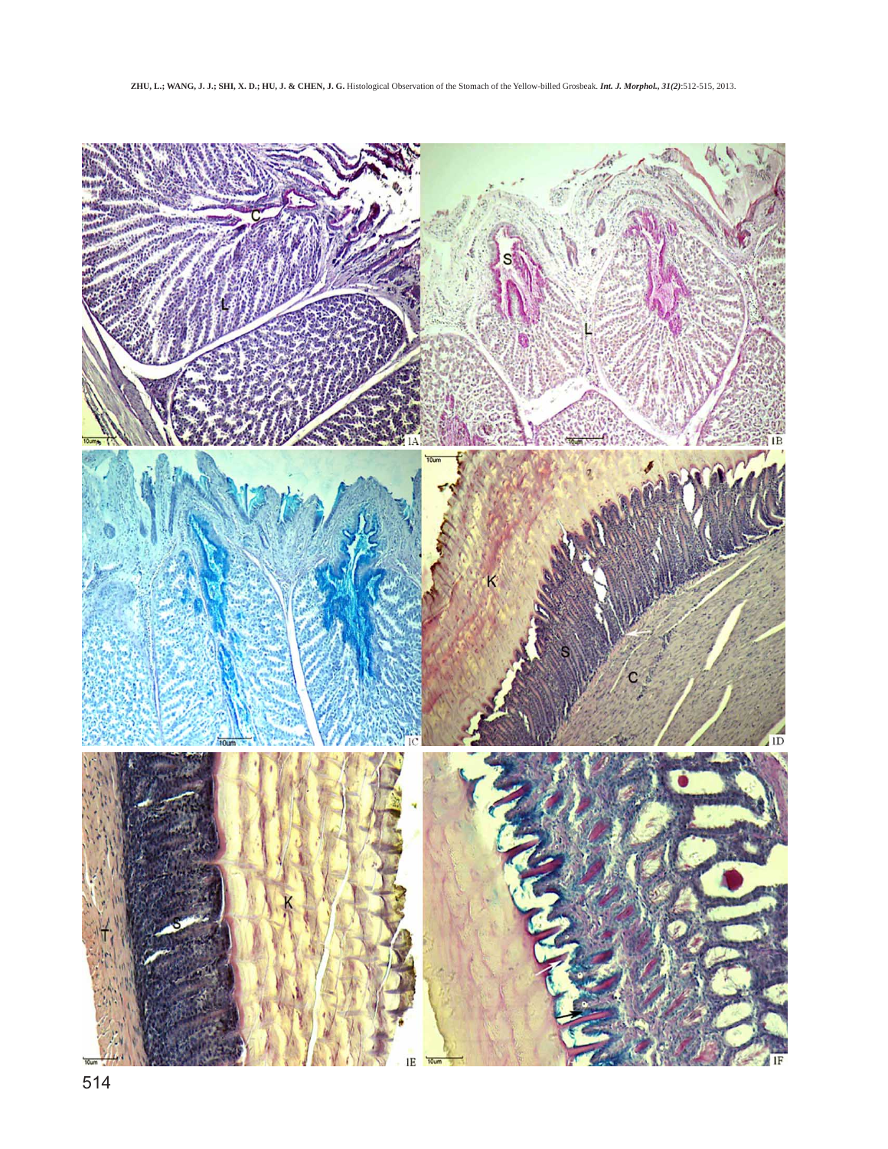